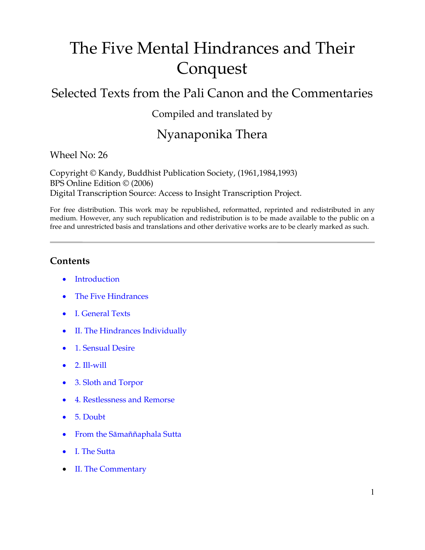# The Five Mental Hindrances and Their Conquest

# Selected Texts from the Pali Canon and the Commentaries

Compiled and translated by

# Nyanaponika Thera

Wheel No: 26

Copyright © Kandy, Buddhist Publication Society, (1961,1984,1993) BPS Online Edition © (2006) Digital Transcription Source: Access to Insight Transcription Project.

For free distribution. This work may be republished, reformatted, reprinted and redistributed in any medium. However, any such republication and redistribution is to be made available to the public on a free and unrestricted basis and translations and other derivative works are to be clearly marked as such.

# **Contents**

- [Introduction](#page-1-0)
- [The Five Hindrances](#page-3-0)
- [I. General Texts](#page-3-0)
- [II. The Hindrances Individually](#page-5-0)
- 1. Sensual Desire
- $\bullet$  2. Ill-will
- [3. Sloth and Torpor](#page-10-0)
- [4. Restlessness and Remorse](#page-15-0)
- [5. Doubt](#page-16-0)
- From the Sāmaññaphala Sutta
- [I. The Sutta](#page-17-0)
- [II. The Commentary](#page-19-0)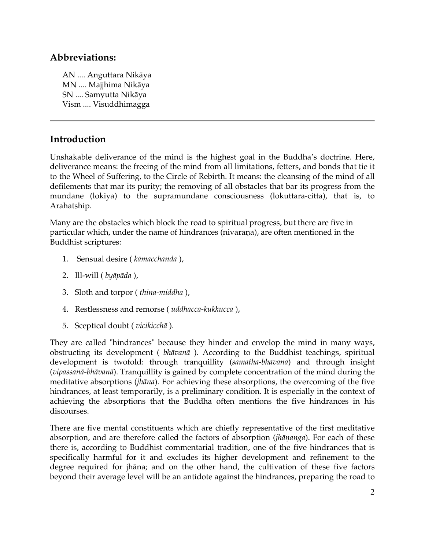# **Abbreviations:**

AN .... Anguttara Nikāya MN .... Majjhima Nikāya SN .... Samyutta Nikāya Vism .... Visuddhimagga

# <span id="page-1-0"></span>**Introduction**

Unshakable deliverance of the mind is the highest goal in the Buddha's doctrine. Here, deliverance means: the freeing of the mind from all limitations, fetters, and bonds that tie it to the Wheel of Suffering, to the Circle of Rebirth. It means: the cleansing of the mind of all defilements that mar its purity; the removing of all obstacles that bar its progress from the mundane (lokiya) to the supramundane consciousness (lokuttara-citta), that is, to Arahatship.

Many are the obstacles which block the road to spiritual progress, but there are five in particular which, under the name of hindrances (nivarana), are often mentioned in the Buddhist scriptures:

- 1. Sensual desire (*kāmacchanda* ),
- 2. Ill-will (  $byāpāda$  ),
- 3. Sloth and torpor ( *thina-middha* ),
- 4. Restlessness and remorse ( *uddhacca-kukkucca* ),
- 5. Sceptical doubt (*vicikiccha*).

They are called "hindrances" because they hinder and envelop the mind in many ways, obstructing its development (*bhāvanā*). According to the Buddhist teachings, spiritual development is twofold: through tranquillity (samatha-bhāvanā) and through insight (*vipassanā-bhāvanā*). Tranquillity is gained by complete concentration of the mind during the meditative absorptions (*jhāna*). For achieving these absorptions, the overcoming of the five hindrances, at least temporarily, is a preliminary condition. It is especially in the context of achieving the absorptions that the Buddha often mentions the five hindrances in his discourses.

There are five mental constituents which are chiefly representative of the first meditative absorption, and are therefore called the factors of absorption *(<i>jh* $\bar{a}$ *nanga*). For each of these there is, according to Buddhist commentarial tradition, one of the five hindrances that is specifically harmful for it and excludes its higher development and refinement to the degree required for jhana; and on the other hand, the cultivation of these five factors beyond their average level will be an antidote against the hindrances, preparing the road to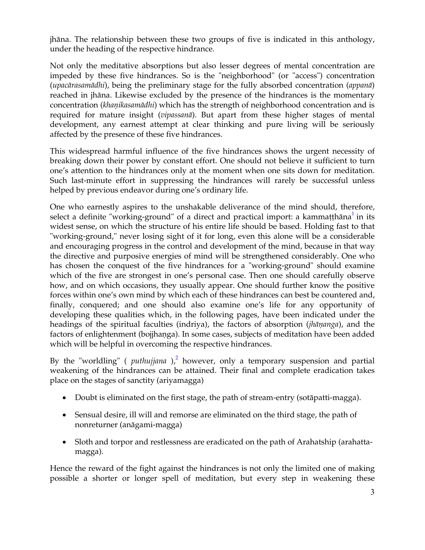<span id="page-2-0"></span>jhāna. The relationship between these two groups of five is indicated in this anthology, under the heading of the respective hindrance.

Not only the meditative absorptions but also lesser degrees of mental concentration are impeded by these five hindrances. So is the "neighborhood" (or "access") concentration (*upacārasamādhi*), being the preliminary stage for the fully absorbed concentration (*appanā*) reached in jhāna. Likewise excluded by the presence of the hindrances is the momentary concentration (*khanikasamādhi*) which has the strength of neighborhood concentration and is required for mature insight (*vipassanā*). But apart from these higher stages of mental development, any earnest attempt at clear thinking and pure living will be seriously affected by the presence of these five hindrances.

This widespread harmful influence of the five hindrances shows the urgent necessity of breaking down their power by constant effort. One should not believe it sufficient to turn one's attention to the hindrances only at the moment when one sits down for meditation. Such last-minute effort in suppressing the hindrances will rarely be successful unless helped by previous endeavor during one's ordinary life.

One who earnestly aspires to the unshakable deliverance of the mind should, therefore, select a definite "working-ground" of a direct and practical import: a kammaṭṭhāna in its widest sense, on which the structure of his entire life should be based. Holding fast to that "working-ground," never losing sight of it for long, even this alone will be a considerable and encouraging progress in the control and development of the mind, because in that way the directive and purposive energies of mind will be strengthened considerably. One who has chosen the conquest of the five hindrances for a "working-ground" should examine which of the five are strongest in one's personal case. Then one should carefully observe how, and on which occasions, they usually appear. One should further know the positive forces within one's own mind by which each of these hindrances can best be countered and, finally, conquered; and one should also examine one's life for any opportunity of developing these qualities which, in the following pages, have been indicated under the headings of the spiritual faculties (indriya), the factors of absorption (*jhāṇanga*), and the factors of enlightenment (bojjhanga). In some cases, subjects of meditation have been added which will be helpful in overcoming the respective hindrances.

By the "worldling" ( *puthujjana* ),<sup>2</sup> however, only a temporary suspension and partial weakening of the hindrances can be attained. Their final and complete eradication takes place on the stages of sanctity (ariyamagga)

- Doubt is eliminated on the first stage, the path of stream-entry (sotapatti-magga).
- Sensual desire, ill will and remorse are eliminated on the third stage, the path of nonreturner (anāgami-magga)
- Sloth and torpor and restlessness are eradicated on the path of Arahatship (arahattamagga).

Hence the reward of the fight against the hindrances is not only the limited one of making possible a shorter or longer spell of meditation, but every step in weakening these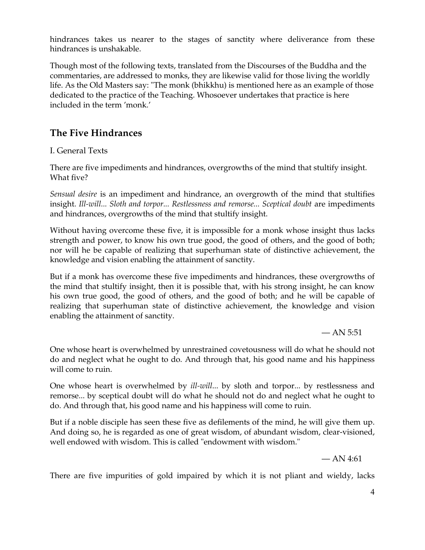hindrances takes us nearer to the stages of sanctity where deliverance from these hindrances is unshakable.

Though most of the following texts, translated from the Discourses of the Buddha and the commentaries, are addressed to monks, they are likewise valid for those living the worldly life. As the Old Masters say: "The monk (bhikkhu) is mentioned here as an example of those dedicated to the practice of the Teaching. Whosoever undertakes that practice is here included in the term 'monk.'

# <span id="page-3-0"></span>**The Five Hindrances**

#### I. General Texts

There are five impediments and hindrances, overgrowths of the mind that stultify insight. What five?

*Sensual desire* is an impediment and hindrance, an overgrowth of the mind that stultifies insight. *Ill-will... Sloth and torpor... Restlessness and remorse... Sceptical doubt are impediments* and hindrances, overgrowths of the mind that stultify insight.

Without having overcome these five, it is impossible for a monk whose insight thus lacks strength and power, to know his own true good, the good of others, and the good of both; nor will he be capable of realizing that superhuman state of distinctive achievement, the knowledge and vision enabling the attainment of sanctity.

But if a monk has overcome these five impediments and hindrances, these overgrowths of the mind that stultify insight, then it is possible that, with his strong insight, he can know his own true good, the good of others, and the good of both; and he will be capable of realizing that superhuman state of distinctive achievement, the knowledge and vision enabling the attainment of sanctity.

 $-$  AN 5:51

One whose heart is overwhelmed by unrestrained covetousness will do what he should not do and neglect what he ought to do. And through that, his good name and his happiness will come to ruin.

One whose heart is overwhelmed by *ill-will*... by sloth and torpor... by restlessness and remorse... by sceptical doubt will do what he should not do and neglect what he ought to do. And through that, his good name and his happiness will come to ruin.

But if a noble disciple has seen these five as defilements of the mind, he will give them up. And doing so, he is regarded as one of great wisdom, of abundant wisdom, clear-visioned, well endowed with wisdom. This is called "endowment with wisdom."

 $- AN 4:61$ 

There are five impurities of gold impaired by which it is not pliant and wieldy, lacks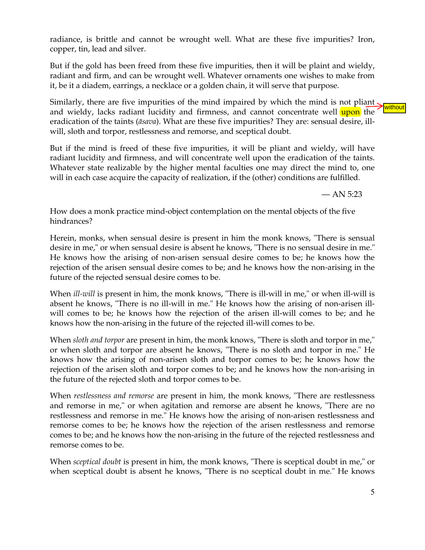radiance, is brittle and cannot be wrought well. What are these five impurities? Iron, copper, tin, lead and silver.

But if the gold has been freed from these five impurities, then it will be plaint and wieldy, radiant and firm, and can be wrought well. Whatever ornaments one wishes to make from it, be it a diadem, earrings, a necklace or a golden chain, it will serve that purpose.

Similarly, there are five impurities of the mind impaired by which the mind is not pliant and wieldy, lacks radiant lucidity and firmness, and cannot concentrate well upon the eradication of the taints ( $\bar{a}$ *sava*). What are these five impurities? They are: sensual desire, illwill, sloth and torpor, restlessness and remorse, and sceptical doubt. **Without** 

But if the mind is freed of these five impurities, it will be pliant and wieldy, will have radiant lucidity and firmness, and will concentrate well upon the eradication of the taints. Whatever state realizable by the higher mental faculties one may direct the mind to, one will in each case acquire the capacity of realization, if the (other) conditions are fulfilled.

 $-$  AN 5:23

How does a monk practice mind-object contemplation on the mental objects of the five hindrances?

Herein, monks, when sensual desire is present in him the monk knows, "There is sensual desire in me," or when sensual desire is absent he knows, "There is no sensual desire in me." He knows how the arising of non-arisen sensual desire comes to be; he knows how the rejection of the arisen sensual desire comes to be; and he knows how the non-arising in the future of the rejected sensual desire comes to be.

When *ill-will* is present in him, the [mo](http://www.bps.lk/)nk knows, "There is ill-will in me," or when ill-will is absent he knows, "There is no ill-will in me." He knows how the arising of non-arisen illwill comes to be; he knows how the rejection of the arisen ill-will comes to be; and h[e](http://www.bps.lk/) knows how the non-arising in the future of the rejected ill-will comes to be.

When *sloth and torpor* are present in him, the monk knows, "There is sloth and torpor in me," or when sloth and torpor are absent he knows, "There is no sloth and torpor in me." He knows how the arising of non-arisen sloth and torpor comes to be; he knows how the rejection of the arisen sloth and torpor comes to be; and he knows how the non-arising in the future of the rejected sloth and torpor comes to be.

When *restlessness and remorse* are present in him, the monk knows, "There are restlessness and remorse in me," or when agitation and remorse are absent he knows, "There are no restlessness and remorse in me." He knows how the arising of non-arisen restlessness and remorse comes to be; he knows how the rejection of the arisen restlessness and remorse comes to be; and he knows how the non-arising in the future of the rejected restlessness and remorse comes to be.

When *sceptical doubt* is present in him, the monk knows, "There is sceptical doubt in me," or when sceptical doubt is absent he knows, "There is no sceptical doubt in me." He knows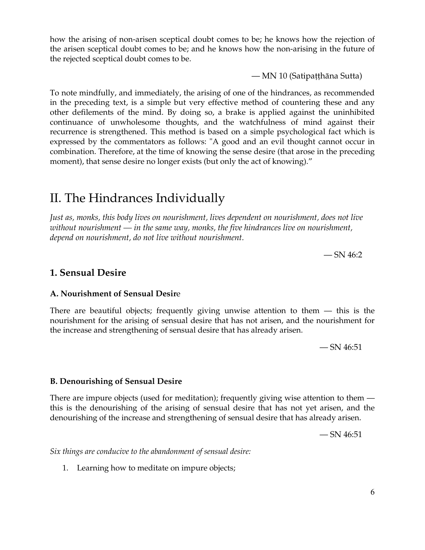how the arising of non-arisen sceptical doubt comes to be; he knows how the rejection of the arisen sceptical doubt comes to be; and he knows how the non-arising in the future of the rejected sceptical doubt comes to be.

ó MN 10 (Satipa˛˛h·na Sutta)

To note mindfully, and immediately, the arising of one of the hindrances, as recommended in the preceding text, is a simple but very effective method of countering these and any other defilements of the mind. By doing so, a brake is applied against the uninhibited continuance of unwholesome thoughts, and the watchfulness of mind against their recurrence is strengthened. This method is based on a simple psychological fact which is expressed by the commentators as follows: "A good and an evil thought cannot occur in combination. Therefore, at the time of knowing the sense desire (that arose in the preceding moment), that sense desire no longer exists (but only the act of knowing)."

# <span id="page-5-0"></span>II. The Hindrances Individually

*Just as, monks, this body lives on nourishment, lives dependent on nourishment, does not live without nourishment — in the same way, monks, the five hindrances live on nourishment, depend on nourishment, do not live without nourishment.*

 $-$  SN 46:2

#### <span id="page-5-1"></span>**1. Sensual Desire**

#### **A. Nourishment of Sensual Desir**e

There are beautiful objects; frequently giving unwise attention to them  $-$  this is the nourishment for the arising of sensual desire that has not arisen, and the nourishment for the increase and strengthening of sensual desire that has already arisen.

 $-$  SN 46:51

#### **B. Denourishing of Sensual Desire**

There are impure objects (used for meditation); frequently giving wise attention to them  $$ this is the denourishing of the arising of sensual desire that has not yet arisen, and the denourishing of the increase and strengthening of sensual desire that has already arisen.

 $-$  SN 46:51

*Six things are conducive to the abandonment of sensual desire:*

1. Learning how to meditate on impure objects;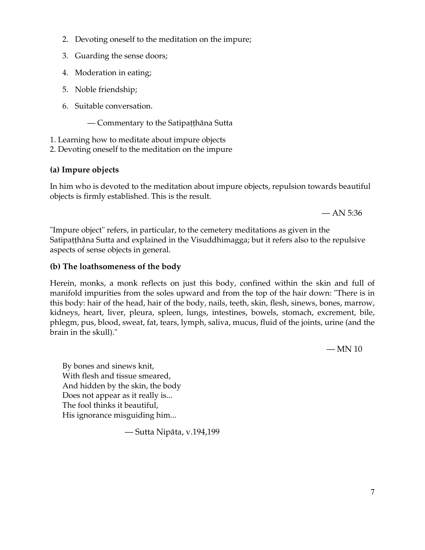- 2. Devoting oneself to the meditation on the impure;
- 3. Guarding the sense doors;
- 4. Moderation in eating;
- 5. Noble friendship;
- 6. Suitable conversation.
	- ó Commentary to the Satipa˛˛h·na Sutta
- 1. Learning how to meditate about impure objects
- 2. Devoting oneself to the meditation on the impure

### **(a) Impure objects**

In him who is devoted to the meditation about impure objects, repulsion towards beautiful objects is firmly established. This is the result.

 $-$  AN 5:36

"Impure object" refers, in particular, to the cemetery meditations as given in the Satipaṭṭhāna Sutta and explained in the Visuddhimagga; but it refers also to the repulsive aspects of sense objects in general.

### **(b) The loathsomeness of the body**

Herein, monks, a monk reflects on just this body, confined within the skin and full of manifold impurities from the soles upward and from the top of the hair down: "There is in this body: hair of the head, hair of the body, nails, teeth, skin, flesh, sinews, bones, marrow, kidneys, heart, liver, pleura, spleen, lungs, intestines, bowels, stomach, excrement, bile, phlegm, pus, blood, sweat, fat, tears, lymph, saliva, mucus, fluid of the joints, urine (and the brain in the skull)."

 $-MN 10$ 

By bones and sinews knit, With flesh and tissue smeared, And hidden by the skin, the body Does not appear as it really is... The fool thinks it beautiful, His ignorance misguiding him...

 $\sim$  Sutta Nipāta, v.194,199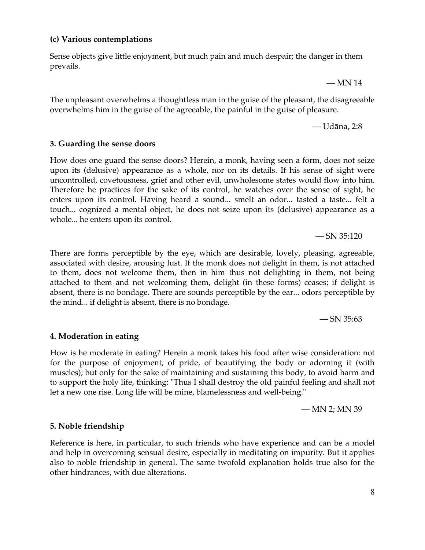#### **(c) Various contemplations**

Sense objects give little enjoyment, but much pain and much despair; the danger in them prevails.

 $-MN 14$ 

The unpleasant overwhelms a thoughtless man in the guise of the pleasant, the disagreeable overwhelms him in the guise of the agreeable, the painful in the guise of pleasure.

 $-\text{Udāna}$ , 2:8

#### **3. Guarding the sense doors**

How does one guard the sense doors? Herein, a monk, having seen a form, does not seize upon its (delusive) appearance as a whole, nor on its details. If his sense of sight were uncontrolled, covetousness, grief and other evil, unwholesome states would flow into him. Therefore he practices for the sake of its control, he watches over the sense of sight, he enters upon its control. Having heard a sound... smelt an odor... tasted a taste... felt a touch... cognized a mental object, he does not seize upon its (delusive) appearance as a whole... he enters upon its control.

There are forms perceptible by the eye, which are desirable, lovely, pleasing, agreeable, associated with desire, arousing lust. If the monk does not delight in them, is not attached to them, does not welcome them, then in him thus not delighting in them, not being attached to them and not welcoming them, delight (in these forms) ceases; if delight is absent, there is no bondage. There are sounds perceptible by the ear... odors perceptible by the mind... if delight is absent, there is no bondage.

 $-SN 35:63$ 

 $-$  SN 35:120

#### **4. Moderation in eating**

How is he moderate in eating? Herein a monk takes his food after wise consideration: not for the purpose of enjoyment, of pride, of beautifying the body or adorning it (with muscles); but only for the sake of maintaining and sustaining this body, to avoid harm and to support the holy life, thinking: "Thus I shall destroy the old painful feeling and shall not let a new one rise. Long life will be mine, blamelessness and well-being."

ó MN 2; MN 39

#### **5. Noble friendship**

Reference is here, in particular, to such friends who have experience and can be a model and help in overcoming sensual desire, especially in meditating on impurity. But it applies also to noble friendship in general. The same twofold explanation holds true also for the other hindrances, with due alterations.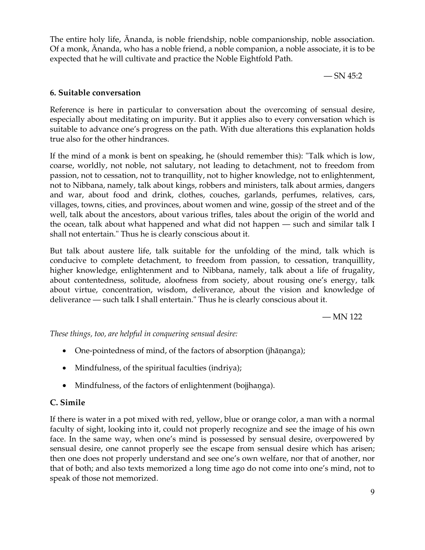The entire holy life, Ananda, is noble friendship, noble companionship, noble association. Of a monk, £nanda, who has a noble friend, a noble companion, a noble associate, it is to be expected that he will cultivate and practice the Noble Eightfold Path.

 $-$  SN 45:2

#### **6. Suitable conversation**

Reference is here in particular to conversation about the overcoming of sensual desire, especially about meditating on impurity. But it applies also to every conversation which is suitable to advance one's progress on the path. With due alterations this explanation holds true also for the other hindrances.

If the mind of a monk is bent on speaking, he (should remember this): "Talk which is low, coarse, worldly, not noble, not salutary, not leading to detachment, not to freedom from passion, not to cessation, not to tranquillity, not to higher knowledge, not to enlightenment, not to Nibbana, namely, talk about kings, robbers and ministers, talk about armies, dangers and war, about food and drink, clothes, couches, garlands, perfumes, relatives, cars, villages, towns, cities, and provinces, about women and wine, gossip of the street and of the well, talk about the ancestors, about various trifles, tales about the origin of the world and the ocean, talk about what happened and what did not happen  $-$  such and similar talk I shall not entertain." Thus he is clearly conscious about it.

But talk about austere life, talk suitable for the unfolding of the mind, talk which is conducive to complete detachment, to freedom from passion, to cessation, tranquillity, higher knowledge, enlightenment and to Nibbana, namely, talk about a life of frugality, about contentedness, solitude, aloofness from society, about rousing one's energy, talk about virtue, concentration, wisdom, deliverance, about the vision and knowledge of deliverance — such talk I shall entertain." Thus he is clearly conscious about it.

 $-MN$  122

*These things, too, are helpful in conquering sensual desire:*

- One-pointedness of mind, of the factors of absorption (jhāṇanga);
- Mindfulness, of the spiritual faculties (indriya);
- Mindfulness, of the factors of enlightenment (bojjhanga).

#### **C. Simile**

If there is water in a pot mixed with red, yellow, blue or orange color, a man with a normal faculty of sight, looking into it, could not properly recognize and see the image of his own face. In the same way, when one's mind is possessed by sensual desire, overpowered by sensual desire, one cannot properly see the escape from sensual desire which has arisen; then one does not properly understand and see one's own welfare, nor that of another, nor that of both; and also texts memorized a long time ago do not come into one's mind, not to speak of those not memorized.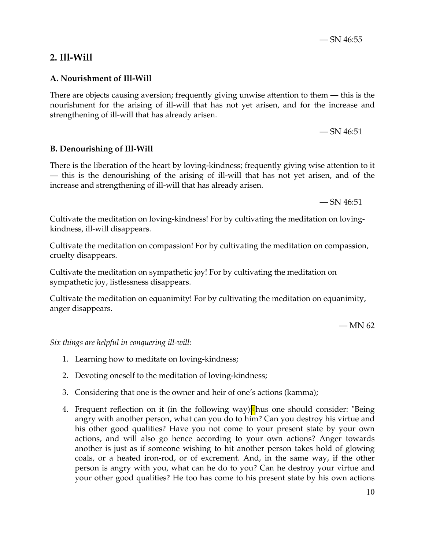#### <span id="page-9-0"></span>**2. Ill-Will**

#### **A. Nourishment of Ill-Will**

There are objects causing aversion; frequently giving unwise attention to them  $-$  this is the nourishment for the arising of ill-will that has not yet arisen, and for the increase and strengthening of ill-will that has already arisen.

 $-$  SN 46:51

#### **B. Denourishing of Ill-Will**

There is the liberation of the heart by loving-kindness; frequently giving wise attention to it  $-$  this is the denourishing of the arising of ill-will that has not yet arisen, and of the increase and strengthening of ill-will that has already arisen.

 $-$  SN 46:51

Cultivate the meditation on loving-kindness! For by cultivating the meditation on lovingkindness, ill-will disappears.

Cultivate the meditation on compassion! For by cultivating the meditation on compassion, cruelty disappears.

Cultivate the meditation on sympathetic joy! For by cultivating the meditation on sympathetic joy, listlessness disappears.

Cultivate the meditation on equanimity! For by cultivating the meditation on equanimity, anger disappears.

 $-MN$  62

*Six things are helpful in conquering ill-will:*

- 1. Learning how to meditate on loving-kindness;
- 2. Devoting oneself to the meditation of loving-kindness;
- 3. Considering that one is the owner and heir of one's actions (kamma);
- 4. Frequent reflection on it (in the following way)<mark>|t</mark>hus one should consider: "Being angry with another person, what can you do to him? Can you destroy his virtue and his other good qualities? Have you not come to your present state by your own actions, and will also go hence according to your own actions? Anger towards another is just as if someone wishing to hit another person takes hold of glowing coals, or a heated iron-rod, or of excrement. And, in the same way, if the other person is angry with you, what can he do to you? Can he destroy your virtue and your other good qualities? He too has come to his present state by his own actions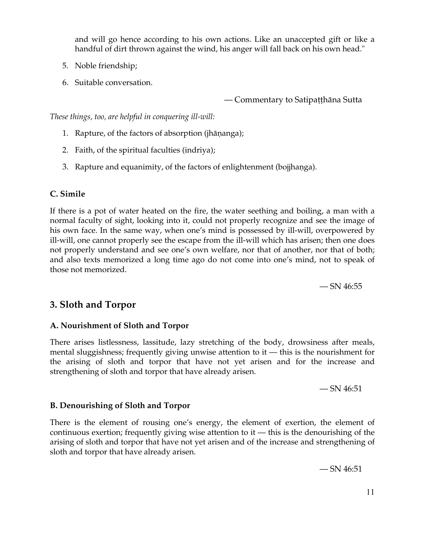and will go hence according to his own actions. Like an unaccepted gift or like a handful of dirt thrown against the wind, his anger will fall back on his own head."

- 5. Noble friendship;
- 6. Suitable conversation.

ó Commentary to Satipa˛˛h·na Sutta

*These things, too, are helpful in conquering ill-will:*

- 1. Rapture, of the factors of absorption (jhāṇanga);
- 2. Faith, of the spiritual faculties (indriya);
- 3. Rapture and equanimity, of the factors of enlightenment (bojjhanga).

#### **C. Simile**

If there is a pot of water heated on the fire, the water seething and boiling, a man with a normal faculty of sight, looking into it, could not properly recognize and see the image of his own face. In the same way, when one's mind is possessed by ill-will, overpowered by ill-will, one cannot properly see the escape from the ill-will which has arisen; then one does not properly understand and see one's own welfare, nor that of another, nor that of both; and also texts memorized a long time ago do not come into one's mind, not to speak of those not memorized.

 $-$  SN 46:55

# <span id="page-10-0"></span>**3. Sloth and Torpor**

#### **A. Nourishment of Sloth and Torpor**

There arises listlessness, lassitude, lazy stretching of the body, drowsiness after meals, mental sluggishness; frequently giving unwise attention to  $t -$  this is the nourishment for the arising of sloth and torpor that have not yet arisen and for the increase and strengthening of sloth and torpor that have already arisen.

 $-$  SN 46:51

#### **B. Denourishing of Sloth and Torpor**

There is the element of rousing one's energy, the element of exertion, the element of continuous exertion; frequently giving wise attention to it  $-$  this is the denourishing of the arising of sloth and torpor that have not yet arisen and of the increase and strengthening of sloth and torpor that have already arisen.

 $-SN 46:51$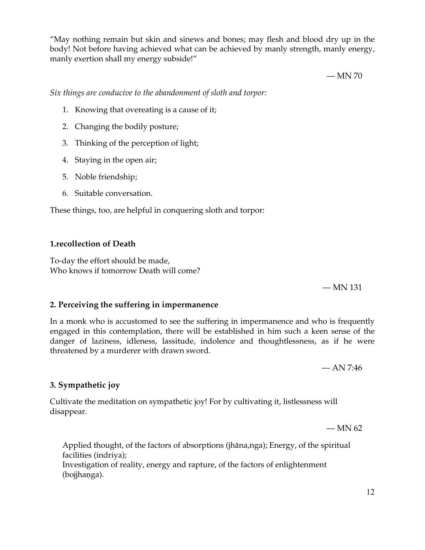"May nothing remain but skin and sinews and bones; may flesh and blood dry up in the body! Not before having achieved what can be achieved by manly strength, manly energy, manly exertion shall my energy subside!"

 $-MN$  70

*Six things are conducive to the abandonment of sloth and torpor:*

- 1. Knowing that overeating is a cause of it;
- 2. Changing the bodily posture;
- 3. Thinking of the perception of light;
- 4. Staying in the open air;
- 5. Noble friendship;
- 6. Suitable conversation.

These things, too, are helpful in conquering sloth and torpor:

#### **1.recollection of Death**

To-day the effort should be made, Who knows if tomorrow Death will come?

 $-MN$  131

#### **2. Perceiving the suffering in impermanence**

In a monk who is accustomed to see the suffering in impermanence and who is frequently engaged in this contemplation, there will be established in him such a keen sense of the danger of laziness, idleness, lassitude, indolence and thoughtlessness, as if he were threatened by a murderer with drawn sword.

 $- AN 7:46$ 

#### **3. Sympathetic joy**

Cultivate the meditation on sympathetic joy! For by cultivating it, listlessness will disappear.

 $-MN$  62

Applied thought, of the factors of absorptions (jhāna,nga); Energy, of the spiritual facilities (indriya); Investigation of reality, energy and rapture, of the factors of enlightenment

(bojjhanga).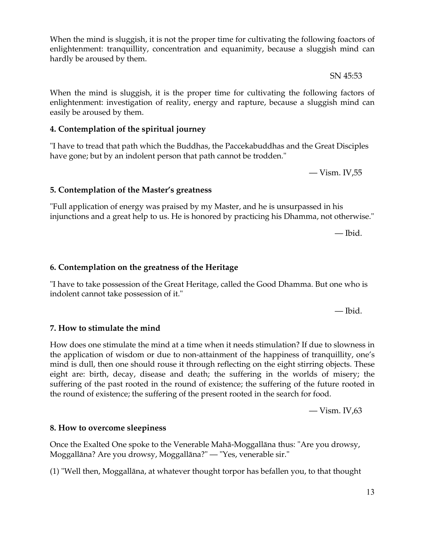13

When the mind is sluggish, it is not the proper time for cultivating the following foactors of enlightenment: tranquillity, concentration and equanimity, because a sluggish mind can hardly be aroused by them.

SN 45:53

When the mind is sluggish, it is the proper time for cultivating the following factors of enlightenment: investigation of reality, energy and rapture, because a sluggish mind can easily be aroused by them.

#### **4. Contemplation of the spiritual journey**

"I have to tread that path which the Buddhas, the Paccekabuddhas and the Great Disciples have gone; but by an indolent person that path cannot be trodden."

 $-V$ ism. IV,55

#### **5. Contemplation of the Master's greatness**

"Full application of energy was praised by my Master, and he is unsurpassed in his injunctions and a great help to us. He is honored by practicing his Dhamma, not otherwise."

 $\overline{\phantom{a}}$  Ibid.

#### **6. Contemplation on the greatness of the Heritage**

"I have to take possession of the Great Heritage, called the Good Dhamma. But one who is indolent cannot take possession of it."

#### **7. How to stimulate the mind**

How does one stimulate the mind at a time when it needs stimulation? If due to slowness in the application of wisdom or due to non-attainment of the happiness of tranquillity, one's mind is dull, then one should rouse it through reflecting on the eight stirring objects. These eight are: birth, decay, disease and death; the suffering in the worlds of misery; the suffering of the past rooted in the round of existence; the suffering of the future rooted in the round of existence; the suffering of the present rooted in the search for food.

 $-V$ ism. IV,63

#### **8. How to overcome sleepiness**

Once the Exalted One spoke to the Venerable Mahā-Moggallāna thus: "Are you drowsy, Moggallāna? Are you drowsy, Moggallāna?" — "Yes, venerable sir."

(1) "Well then, Moggallāna, at whatever thought torpor has befallen you, to that thought

 $\overline{\phantom{a}}$  Ibid.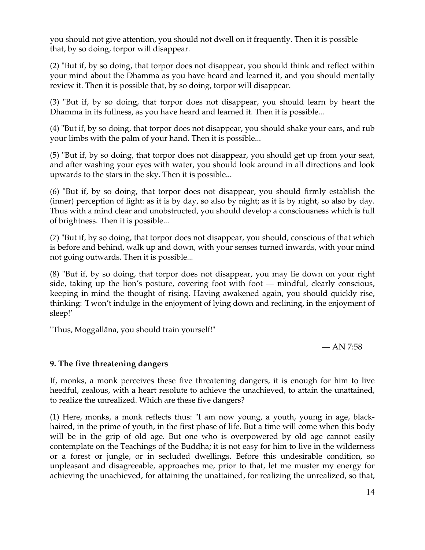you should not give attention, you should not dwell on it frequently. Then it is possible that, by so doing, torpor will disappear.

(2) "But if, by so doing, that torpor does not disappear, you should think and reflect within your mind about the Dhamma as you have heard and learned it, and you should mentally review it. Then it is possible that, by so doing, torpor will disappear.

(3) "But if, by so doing, that torpor does not disappear, you should learn by heart the Dhamma in its fullness, as you have heard and learned it. Then it is possible...

(4) "But if, by so doing, that torpor does not disappear, you should shake your ears, and rub your limbs with the palm of your hand. Then it is possible...

(5) "But if, by so doing, that torpor does not disappear, you should get up from your seat, and after washing your eyes with water, you should look around in all directions and look upwards to the stars in the sky. Then it is possible...

(6) "But if, by so doing, that torpor does not disappear, you should firmly establish the (inner) perception of light: as it is by day, so also by night; as it is by night, so also by day. Thus with a mind clear and unobstructed, you should develop a consciousness which is full of brightness. Then it is possible...

(7) "But if, by so doing, that torpor does not disappear, you should, conscious of that which is before and behind, walk up and down, with your senses turned inwards, with your mind not going outwards. Then it is possible...

(8) "But if, by so doing, that torpor does not disappear, you may lie down on your right side, taking up the lion's posture, covering foot with foot  $-$  mindful, clearly conscious, keeping in mind the thought of rising. Having awakened again, you should quickly rise, thinking: 'I won't indulge in the enjoyment of lying down and reclining, in the enjoyment of sleep!'

"Thus, Moggallāna, you should train yourself!"

 $-$  AN 7:58

#### **9. The five threatening dangers**

If, monks, a monk perceives these five threatening dangers, it is enough for him to live heedful, zealous, with a heart resolute to achieve the unachieved, to attain the unattained, to realize the unrealized. Which are these five dangers?

(1) Here, monks, a monk reflects thus: "I am now young, a youth, young in age, blackhaired, in the prime of youth, in the first phase of life. But a time will come when this body will be in the grip of old age. But one who is overpowered by old age cannot easily contemplate on the Teachings of the Buddha; it is not easy for him to live in the wilderness or a forest or jungle, or in secluded dwellings. Before this undesirable condition, so unpleasant and disagreeable, approaches me, prior to that, let me muster my energy for achieving the unachieved, for attaining the unattained, for realizing the unrealized, so that,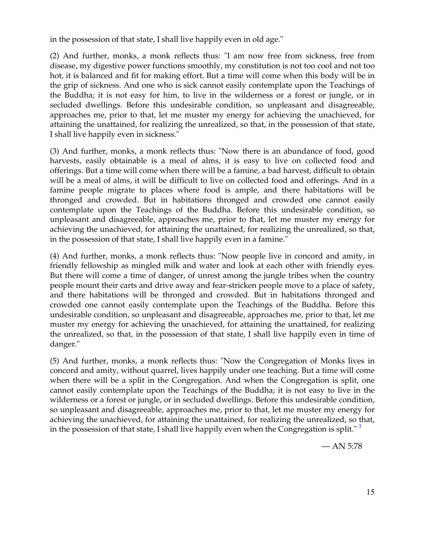<span id="page-14-0"></span>in the possession of that state, I shall live happily even in old age."

(2) And further, monks, a monk reflects thus: "I am now free from sickness, free from disease, my digestive power functions smoothly, my constitution is not too cool and not too hot, it is balanced and fit for making effort. But a time will come when this body will be in the grip of sickness. And one who is sick cannot easily contemplate upon the Teachings of the Buddha; it is not easy for him, to live in the wilderness or a forest or jungle, or in secluded dwellings. Before this undesirable condition, so unpleasant and disagreeable, approaches me, prior to that, let me muster my energy for achieving the unachieved, for attaining the unattained, for realizing the unrealized, so that, in the possession of that state, I shall live happily even in sickness."

(3) And further, monks, a monk reflects thus: "Now there is an abundance of food, good harvests, easily obtainable is a meal of alms, it is easy to live on collected food and offerings. But a time will come when there will be a famine, a bad harvest, difficult to obtain will be a meal of alms, it will be difficult to live on collected food and offerings. And in a famine people migrate to places where food is ample, and there habitations will be thronged and crowded. But in habitations thronged and crowded one cannot easily contemplate upon the Teachings of the Buddha. Before this undesirable condition, so unpleasant and disagreeable, approaches me, prior to that, let me muster my energy for achieving the unachieved, for attaining the unattained, for realizing the unrealized, so that, in the possession of that state, I shall live happily even in a famine."

(4) And further, monks, a monk reflects thus: "Now people live in concord and amity, in friendly fellowship as mingled milk and water and look at each other with friendly eyes. But there will come a time of danger, of unrest among the jungle tribes when the country people mount their carts and drive away and fear-stricken people move to a place of safety, and there habitations will be thronged and crowded. But in habitations thronged and crowded one cannot easily contemplate upon the Teachings of the Buddha. Before this undesirable condition, so unpleasant and disagreeable, approaches me, prior to that, let me muster my energy for achieving the unachieved, for attaining the unattained, for realizing the unrealized, so that, in the possession of that state, I shall live happily even in time of danger."

(5) And further, monks, a monk reflects thus: "Now the Congregation of Monks lives in concord and amity, without quarrel, lives happily under one teaching. But a time will come when there will be a split in the Congregation. And when the Congregation is split, one cannot easily contemplate upon the Teachings of the Buddha; it is not easy to live in the wilderness or a forest or jungle, or in secluded dwellings. Before this undesirable condition, so unpleasant and disagreeable, approaches me, prior to that, let me muster my energy for achieving the unachieved, for attaining the unattained, for realizing the unrealized, so that, in the possession of that state, I shall live happily even when the Congregation is split." $\frac{3}{2}$  $\frac{3}{2}$  $\frac{3}{2}$ 

 $-$  AN 5:78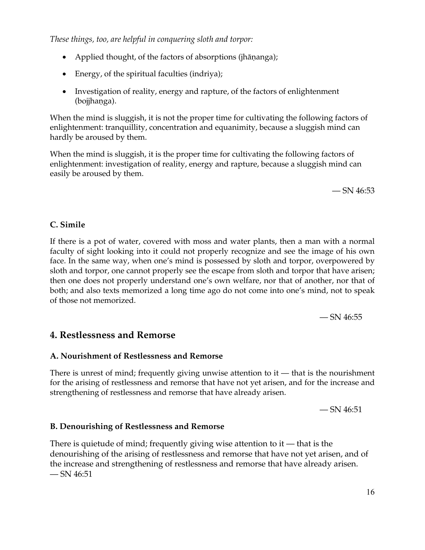*These things, too, are helpful in conquering sloth and torpor:*

- Applied thought, of the factors of absorptions (jhāṇanga);
- Energy, of the spiritual faculties (indriya);
- Investigation of reality, energy and rapture, of the factors of enlightenment (bojjhanga).

When the mind is sluggish, it is not the proper time for cultivating the following factors of enlightenment: tranquillity, concentration and equanimity, because a sluggish mind can hardly be aroused by them.

When the mind is sluggish, it is the proper time for cultivating the following factors of enlightenment: investigation of reality, energy and rapture, because a sluggish mind can easily be aroused by them.

 $-$  SN 46:53

#### **C. Simile**

If there is a pot of water, covered with moss and water plants, then a man with a normal faculty of sight looking into it could not properly recognize and see the image of his own face. In the same way, when one's mind is possessed by sloth and torpor, overpowered by sloth and torpor, one cannot properly see the escape from sloth and torpor that have arisen; then one does not properly understand one's own welfare, nor that of another, nor that of both; and also texts memorized a long time ago do not come into one's mind, not to speak of those not memorized.

 $-$  SN 46:55

### <span id="page-15-0"></span>**4. Restlessness and Remorse**

#### **A. Nourishment of Restlessness and Remorse**

There is unrest of mind; frequently giving unwise attention to  $t - t$  that is the nourishment for the arising of restlessness and remorse that have not yet arisen, and for the increase and strengthening of restlessness and remorse that have already arisen.

 $-$  SN 46:51

#### **B. Denourishing of Restlessness and Remorse**

There is quietude of mind; frequently giving wise attention to it  $-$  that is the denourishing of the arising of restlessness and remorse that have not yet arisen, and of the increase and strengthening of restlessness and remorse that have already arisen.  $-$  SN 46:51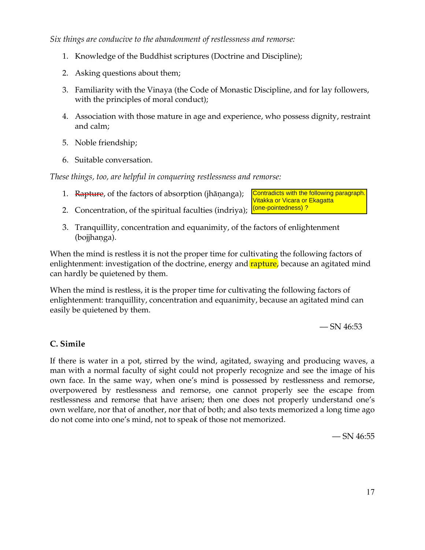*Six things are conducive to the abandonment of restlessness and remorse:*

- 1. Knowledge of the Buddhist scriptures (Doctrine and Discipline);
- 2. Asking questions about them;
- 3. Familiarity with the Vinaya (the Code of Monastic Discipline, and for lay followers, with the principles of moral conduct);
- 4. Association with those mature in age and experience, who possess dignity, restraint and calm;
- 5. Noble friendship;
- 6. Suitable conversation.

*These things, too, are helpful in conquering restlessness and remorse:*

- 1. Rapture, of the factors of absorption (jhānanga);
	- Contradicts with the following paragraph. Vitakka or Vicara or Ekagatta (one-pointedness) ?
- 2. Concentration, of the spiritual faculties (indriya);
- 3. Tranquillity, concentration and equanimity, of the factors of enlightenment (bojjhanga).

When the mind is restless it is not the proper time for cultivating the following factors of enlightenment: investigation of the doctrine, energy and **rapture**, because an agitated mind can hardly be quietened by them.

When the mind is restless, it is the proper time for cultivating the following factors of enlightenment: tranquillity, concentration and equanimity, because an agitated mind can easily be quietened by them.

 $-$  SN 46:53

#### **C. Simile**

<span id="page-16-0"></span>If there is water in a pot, stirred by the wind, agitated, swaying and producing waves, a man with a normal faculty of sight could not properly recognize and see the image of his own face. In the same way, when one's mind is possessed by restlessness and remorse, overpowered by restlessness and remorse, one cannot properly see the escape from restlessness and remorse that have arisen; then one does not properly understand one's own welfare, nor that of another, nor that of both; and also texts memorized a long time ago do not come into one's mind, not to speak of those not memorized.

 $-$  SN 46:55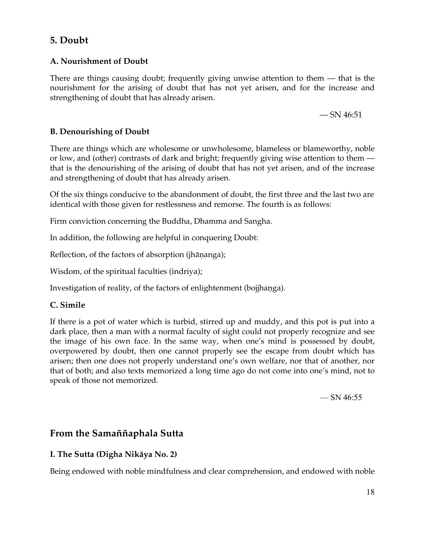# **5. Doubt**

#### **A. Nourishment of Doubt**

There are things causing doubt; frequently giving unwise attention to them  $-$  that is the nourishment for the arising of doubt that has not yet arisen, and for the increase and strengthening of doubt that has already arisen.

 $-$  SN 46:51

#### **B. Denourishing of Doubt**

There are things which are wholesome or unwholesome, blameless or blameworthy, noble or low, and (other) contrasts of dark and bright; frequently giving wise attention to them  $$ that is the denourishing of the arising of doubt that has not yet arisen, and of the increase and strengthening of doubt that has already arisen.

Of the six things conducive to the abandonment of doubt, the first three and the last two are identical with those given for restlessness and remorse. The fourth is as follows:

Firm conviction concerning the Buddha, Dhamma and Sangha.

In addition, the following are helpful in conquering Doubt:

Reflection, of the factors of absorption (jhāṇanga);

Wisdom, of the spiritual faculties (indriya);

Investigation of reality, of the factors of enlightenment (bojjhanga).

#### **C. Simile**

If there is a pot of water which is turbid, stirred up and muddy, and this pot is put into a dark place, then a man with a normal faculty of sight could not properly recognize and see the image of his own face. In the same way, when one's mind is possessed by doubt, overpowered by doubt, then one cannot properly see the escape from doubt which has arisen; then one does not properly understand one's own welfare, nor that of another, nor that of both; and also texts memorized a long time ago do not come into one's mind, not to speak of those not memorized.

 $-$  SN 46:55

#### <span id="page-17-0"></span>**From the Samaññaphala Sutta**

#### **I. The Sutta (Digha Nikāya No. 2)**

Being endowed with noble mindfulness and clear comprehension, and endowed with noble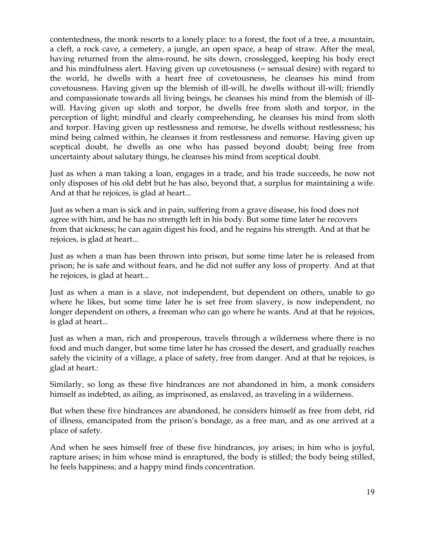contentedness, the monk resorts to a lonely place: to a forest, the foot of a tree, a mountain, a cleft, a rock cave, a cemetery, a jungle, an open space, a heap of straw. After the meal, having returned from the alms-round, he sits down, crosslegged, keeping his body erect and his mindfulness alert. Having given up covetousness (= sensual desire) with regard to the world, he dwells with a heart free of covetousness, he cleanses his mind from covetousness. Having given up the blemish of ill-will, he dwells without ill-will; friendly and compassionate towards all living beings, he cleanses his mind from the blemish of illwill. Having given up sloth and torpor, he dwells free from sloth and torpor, in the perception of light; mindful and clearly comprehending, he cleanses his mind from sloth and torpor. Having given up restlessness and remorse, he dwells without restlessness; his mind being calmed within, he cleanses it from restlessness and remorse. Having given up sceptical doubt, he dwells as one who has passed beyond doubt; being free from uncertainty about salutary things, he cleanses his mind from sceptical doubt.

Just as when a man taking a loan, engages in a trade, and his trade succeeds, he now not only disposes of his old debt but he has also, beyond that, a surplus for maintaining a wife. And at that he rejoices, is glad at heart...

Just as when a man is sick and in pain, suffering from a grave disease, his food does not agree with him, and he has no strength left in his body. But some time later he recovers from that sickness; he can again digest his food, and he regains his strength. And at that he rejoices, is glad at heart...

Just as when a man has been thrown into prison, but some time later he is released from prison; he is safe and without fears, and he did not suffer any loss of property. And at that he rejoices, is glad at heart...

Just as when a man is a slave, not independent, but dependent on others, unable to go where he likes, but some time later he is set free from slavery, is now independent, no longer dependent on others, a freeman who can go where he wants. And at that he rejoices, is glad at heart...

Just as when a man, rich and prosperous, travels through a wilderness where there is no food and much danger, but some time later he has crossed the desert, and gradually reaches safely the vicinity of a village, a place of safety, free from danger. And at that he rejoices, is glad at heart.:

Similarly, so long as these five hindrances are not abandoned in him, a monk considers himself as indebted, as ailing, as imprisoned, as enslaved, as traveling in a wilderness.

But when these five hindrances are abandoned, he considers himself as free from debt, rid of illness, emancipated from the prison's bondage, as a free man, and as one arrived at a place of safety.

And when he sees himself free of these five hindrances, joy arises; in him who is joyful, rapture arises; in him whose mind is enraptured, the body is stilled; the body being stilled, he feels happiness; and a happy mind finds concentration.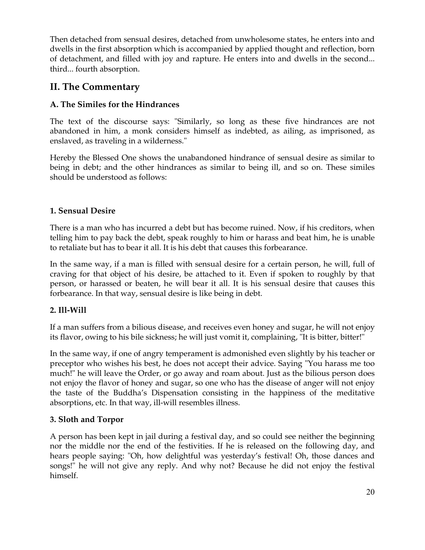Then detached from sensual desires, detached from unwholesome states, he enters into and dwells in the first absorption which is accompanied by applied thought and reflection, born of detachment, and filled with joy and rapture. He enters into and dwells in the second... third... fourth absorption.

# <span id="page-19-0"></span>**II. The Commentary**

#### **A. The Similes for the Hindrances**

The text of the discourse says: "Similarly, so long as these five hindrances are not abandoned in him, a monk considers himself as indebted, as ailing, as imprisoned, as enslaved, as traveling in a wilderness."

Hereby the Blessed One shows the unabandoned hindrance of sensual desire as similar to being in debt; and the other hindrances as similar to being ill, and so on. These similes should be understood as follows:

#### **1. Sensual Desire**

There is a man who has incurred a debt but has become ruined. Now, if his creditors, when telling him to pay back the debt, speak roughly to him or harass and beat him, he is unable to retaliate but has to bear it all. It is his debt that causes this forbearance.

In the same way, if a man is filled with sensual desire for a certain person, he will, full of craving for that object of his desire, be attached to it. Even if spoken to roughly by that person, or harassed or beaten, he will bear it all. It is his sensual desire that causes this forbearance. In that way, sensual desire is like being in debt.

#### **2. Ill-Will**

If a man suffers from a bilious disease, and receives even honey and sugar, he will not enjoy its flavor, owing to his bile sickness; he will just vomit it, complaining, "It is bitter, bitter!"

In the same way, if one of angry temperament is admonished even slightly by his teacher or preceptor who wishes his best, he does not accept their advice. Saying "You harass me too much!" he will leave the Order, or go away and roam about. Just as the bilious person does not enjoy the flavor of honey and sugar, so one who has the disease of anger will not enjoy the taste of the Buddha's Dispensation consisting in the happiness of the meditative absorptions, etc. In that way, ill-will resembles illness.

#### **3. Sloth and Torpor**

A person has been kept in jail during a festival day, and so could see neither the beginning nor the middle nor the end of the festivities. If he is released on the following day, and hears people saying: "Oh, how delightful was yesterday's festival! Oh, those dances and songs!" he will not give any reply. And why not? Because he did not enjoy the festival himself.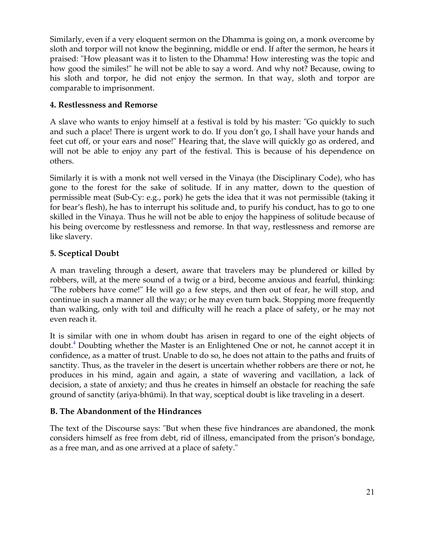<span id="page-20-0"></span>Similarly, even if a very eloquent sermon on the Dhamma is going on, a monk overcome by sloth and torpor will not know the beginning, middle or end. If after the sermon, he hears it praised: "How pleasant was it to listen to the Dhamma! How interesting was the topic and how good the similes!" he will not be able to say a word. And why not? Because, owing to his sloth and torpor, he did not enjoy the sermon. In that way, sloth and torpor are comparable to imprisonment.

#### **4. Restlessness and Remorse**

A slave who wants to enjoy himself at a festival is told by his master: "Go quickly to such and such a place! There is urgent work to do. If you don't go, I shall have your hands and feet cut off, or your ears and nose!" Hearing that, the slave will quickly go as ordered, and will not be able to enjoy any part of the festival. This is because of his dependence on others.

Similarly it is with a monk not well versed in the Vinaya (the Disciplinary Code), who has gone to the forest for the sake of solitude. If in any matter, down to the question of permissible meat (Sub-Cy: e.g., pork) he gets the idea that it was not permissible (taking it for bear's flesh), he has to interrupt his solitude and, to purify his conduct, has to go to one skilled in the Vinaya. Thus he will not be able to enjoy the happiness of solitude because of his being overcome by restlessness and remorse. In that way, restlessness and remorse are like slavery.

#### **5. Sceptical Doubt**

A man traveling through a desert, aware that travelers may be plundered or killed by robbers, will, at the mere sound of a twig or a bird, become anxious and fearful, thinking: "The robbers have come!" He will go a few steps, and then out of fear, he will stop, and continue in such a manner all the way; or he may even turn back. Stopping more frequently than walking, only with toil and difficulty will he reach a place of safety, or he may not even reach it.

It is similar with one in whom doubt has arisen in regard to one of the eight objects of doubt.<sup>4</sup> Doubting whether the Master is an Enlightened One or not, he cannot accept it in confidence, as a matter of trust. Unable to do so, he does not attain to the paths and fruits of sanctity. Thus, as the traveler in the desert is uncertain whether robbers are there or not, he produces in his mind, again and again, a state of wavering and vacillation, a lack of decision, a state of anxiety; and thus he creates in himself an obstacle for reaching the safe ground of sanctity (ariya-bhūmi). In that way, sceptical doubt is like traveling in a desert.

#### **B. The Abandonment of the Hindrances**

The text of the Discourse says: "But when these five hindrances are abandoned, the monk considers himself as free from debt, rid of illness, emancipated from the prison's bondage, as a free man, and as one arrived at a place of safety."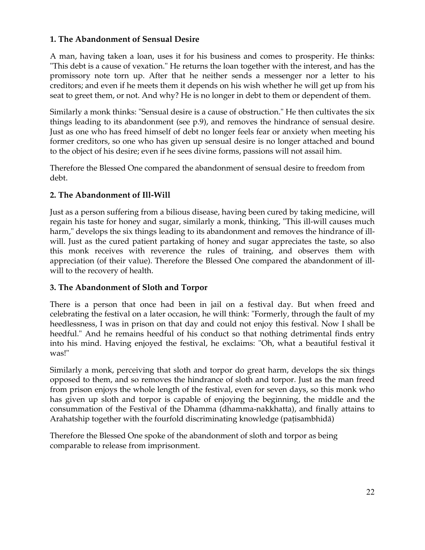#### **1. The Abandonment of Sensual Desire**

A man, having taken a loan, uses it for his business and comes to prosperity. He thinks: "This debt is a cause of vexation." He returns the loan together with the interest, and has the promissory note torn up. After that he neither sends a messenger nor a letter to his creditors; and even if he meets them it depends on his wish whether he will get up from his seat to greet them, or not. And why? He is no longer in debt to them or dependent of them.

Similarly a monk thinks: "Sensual desire is a cause of obstruction." He then cultivates the six things leading to its abandonment (see p.9), and removes the hindrance of sensual desire. Just as one who has freed himself of debt no longer feels fear or anxiety when meeting his former creditors, so one who has given up sensual desire is no longer attached and bound to the object of his desire; even if he sees divine forms, passions will not assail him.

Therefore the Blessed One compared the abandonment of sensual desire to freedom from debt.

#### **2. The Abandonment of Ill-Will**

Just as a person suffering from a bilious disease, having been cured by taking medicine, will regain his taste for honey and sugar, similarly a monk, thinking, "This ill-will causes much harm," develops the six things leading to its abandonment and removes the hindrance of illwill. Just as the cured patient partaking of honey and sugar appreciates the taste, so also this monk receives with reverence the rules of training, and observes them with appreciation (of their value). Therefore the Blessed One compared the abandonment of illwill to the recovery of health.

#### **3. The Abandonment of Sloth and Torpor**

There is a person that once had been in jail on a festival day. But when freed and celebrating the festival on a later occasion, he will think: "Formerly, through the fault of my heedlessness, I was in prison on that day and could not enjoy this festival. Now I shall be heedful." And he remains heedful of his conduct so that nothing detrimental finds entry into his mind. Having enjoyed the festival, he exclaims: "Oh, what a beautiful festival it was!"

Similarly a monk, perceiving that sloth and torpor do great harm, develops the six things opposed to them, and so removes the hindrance of sloth and torpor. Just as the man freed from prison enjoys the whole length of the festival, even for seven days, so this monk who has given up sloth and torpor is capable of enjoying the beginning, the middle and the consummation of the Festival of the Dhamma (dhamma-nakkhatta), and finally attains to Arahatship together with the fourfold discriminating knowledge (patisambhida)

Therefore the Blessed One spoke of the abandonment of sloth and torpor as being comparable to release from imprisonment.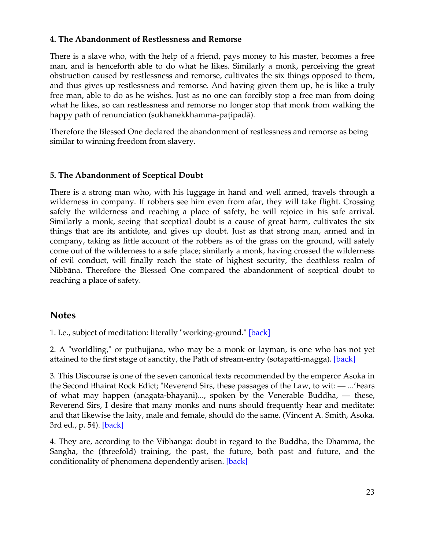#### <span id="page-22-0"></span>**4. The Abandonment of Restlessness and Remorse**

There is a slave who, with the help of a friend, pays money to his master, becomes a free man, and is henceforth able to do what he likes. Similarly a monk, perceiving the great obstruction caused by restlessness and remorse, cultivates the six things opposed to them, and thus gives up restlessness and remorse. And having given them up, he is like a truly free man, able to do as he wishes. Just as no one can forcibly stop a free man from doing what he likes, so can restlessness and remorse no longer stop that monk from walking the happy path of renunciation (sukhanekkhamma-patipadā).

Therefore the Blessed One declared the abandonment of restlessness and remorse as being similar to winning freedom from slavery.

#### **5. The Abandonment of Sceptical Doubt**

There is a strong man who, with his luggage in hand and well armed, travels through a wilderness in company. If robbers see him even from afar, they will take flight. Crossing safely the wilderness and reaching a place of safety, he will rejoice in his safe arrival. Similarly a monk, seeing that sceptical doubt is a cause of great harm, cultivates the six things that are its antidote, and gives up doubt. Just as that strong man, armed and in company, taking as little account of the robbers as of the grass on the ground, will safely come out of the wilderness to a safe place; similarly a monk, having crossed the wilderness of evil conduct, will finally reach the state of highest security, the deathless realm of Nibbāna. Therefore the Blessed One compared the abandonment of sceptical doubt to reaching a place of safety.

#### **Notes**

1. I.e., subject of meditation: literally "working-ground." [\[back\]](#page-2-0)

2. A "worldling," or puthujjana, who may be a monk or layman, is one who has not yet attained to the first stage of sanctity, the Path of stream-entry (sotapatti-magga)[. \[back\]](#page-2-0)

3. This Discourse is one of the seven canonical texts recommended by the emperor Asoka in the Second Bhairat Rock Edict; "Reverend Sirs, these passages of the Law, to wit:  $-$  ...'Fears of what may happen (anagata-bhayani)..., spoken by the Venerable Buddha,  $-$  these, Reverend Sirs, I desire that many monks and nuns should frequently hear and meditate: and that likewise the laity, male and female, should do the same. (Vincent A. Smith, Asoka. 3rd ed., p. 54). [\[back\]](#page-14-0)

4. They are, according to the Vibhanga: doubt in regard to the Buddha, the Dhamma, the Sangha, the (threefold) training, the past, the future, both past and future, and the conditionality of phenomena dependently arisen. [\[back\]](#page-20-0)